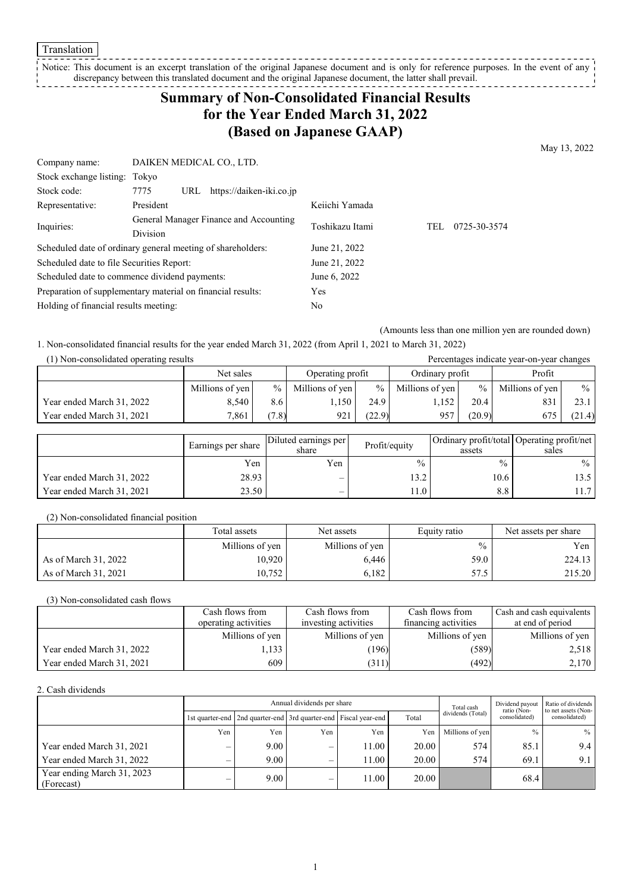Notice: This document is an excerpt translation of the original Japanese document and is only for reference purposes. In the event of any discrepancy between this translated document and the original Japanese document, the latter shall prevail. -----------------

## **Summary of Non-Consolidated Financial Results for the Year Ended March 31, 2022 (Based on Japanese GAAP)**

May 13, 2022

| Company name:                                               | DAIKEN MEDICAL CO., LTD. |                                        |                 |                     |
|-------------------------------------------------------------|--------------------------|----------------------------------------|-----------------|---------------------|
| Stock exchange listing: Tokyo                               |                          |                                        |                 |                     |
| Stock code:                                                 | 7775<br>URL              | https://daiken-iki.co.jp               |                 |                     |
| Representative:                                             | President                |                                        | Keiichi Yamada  |                     |
| Inquiries:                                                  | <b>Division</b>          | General Manager Finance and Accounting | Toshikazu Itami | 0725-30-3574<br>TEL |
| Scheduled date of ordinary general meeting of shareholders: |                          |                                        | June 21, 2022   |                     |
| Scheduled date to file Securities Report:                   |                          |                                        | June 21, 2022   |                     |
| Scheduled date to commence dividend payments:               |                          | June 6, 2022                           |                 |                     |
| Preparation of supplementary material on financial results: |                          | Yes                                    |                 |                     |
| Holding of financial results meeting:                       |                          | No                                     |                 |                     |

(Amounts less than one million yen are rounded down)

1. Non-consolidated financial results for the year ended March 31, 2022 (from April 1, 2021 to March 31, 2022)

| (1) Non-consolidated operating results<br>Percentages indicate year-on-year changes |                 |               |                  |        |                 |                 |                 |                 |
|-------------------------------------------------------------------------------------|-----------------|---------------|------------------|--------|-----------------|-----------------|-----------------|-----------------|
|                                                                                     | Net sales       |               | Operating profit |        | Ordinary profit |                 | Profit          |                 |
|                                                                                     | Millions of yen | $\frac{0}{0}$ | Millions of yen  | $\%$   | Millions of yen | $\frac{9}{6}$ 1 | Millions of yen | $\frac{9}{6}$ 1 |
| Year ended March 31, 2022                                                           | 8.540           | 8.6           | .,150            | 24.9   | 1,152           | 20.4            | 831             | 23.1            |
| Year ended March 31, 2021                                                           | 7.861           | (7.8)         | 921              | (22.9) | 957             | (20.9)          | 675             | (21.4)          |

|                           | Earnings per share | Diluted earnings per<br>share | Profit/equity | assets        | Ordinary profit/total Operating profit/net<br>sales |
|---------------------------|--------------------|-------------------------------|---------------|---------------|-----------------------------------------------------|
|                           | Yen                | Yen                           | $\frac{0}{0}$ | $\frac{0}{0}$ | $\frac{9}{6}$                                       |
| Year ended March 31, 2022 | 28.93              | $\overline{\phantom{0}}$      | 13.2          | 10.6          | 13.5                                                |
| Year ended March 31, 2021 | 23.50              | $\overline{\phantom{0}}$      | 11.0          | 8.8           | 11.7                                                |

(2) Non-consolidated financial position

|                      | Total assets    | Net assets      | Equity ratio  | Net assets per share |  |
|----------------------|-----------------|-----------------|---------------|----------------------|--|
|                      | Millions of yen | Millions of yen | $\frac{0}{0}$ | Yen l                |  |
| As of March 31, 2022 | 10,920          | 6.446           | 59.0          | 224.13               |  |
| As of March 31, 2021 | 10.752          | 6.182           | 57.5          | 215.20               |  |

(3) Non-consolidated cash flows

|                           | Cash flows from      | Cash flows from      | Cash flows from      | Cash and cash equivalents |
|---------------------------|----------------------|----------------------|----------------------|---------------------------|
|                           | operating activities | investing activities | financing activities | at end of period          |
|                           | Millions of yen      | Millions of yen      | Millions of yen      | Millions of yen           |
| Year ended March 31, 2022 | .133                 | 196)                 | (589)                | 2,518                     |
| Year ended March 31, 2021 | 609                  | (311)                | (492)                | 2,170                     |

2. Cash dividends

|                                          | Annual dividends per share |                                                                 |     |       |       | Total cash        | Dividend payout<br>ratio (Non- | Ratio of dividends<br>to net assets (Non- |
|------------------------------------------|----------------------------|-----------------------------------------------------------------|-----|-------|-------|-------------------|--------------------------------|-------------------------------------------|
|                                          |                            | 1st quarter-end 2nd quarter-end 3rd quarter-end Fiscal year-end |     |       | Total | dividends (Total) | consolidated)                  | consolidated)                             |
|                                          | Yen                        | Yen                                                             | Yen | Yen   | Yen   | Millions of yen   | $\frac{0}{0}$                  | $\%$                                      |
| Year ended March 31, 2021                |                            | 9.00                                                            | —   | 11.00 | 20.00 | 574               | 85.1                           | 9.4                                       |
| Year ended March 31, 2022                |                            | 9.00                                                            | —   | 11.00 | 20.00 | 574               | 69.1                           | 9.1                                       |
| Year ending March 31, 2023<br>(Forecast) |                            | 9.00                                                            | —   | 11.00 | 20.00 |                   | 68.4                           |                                           |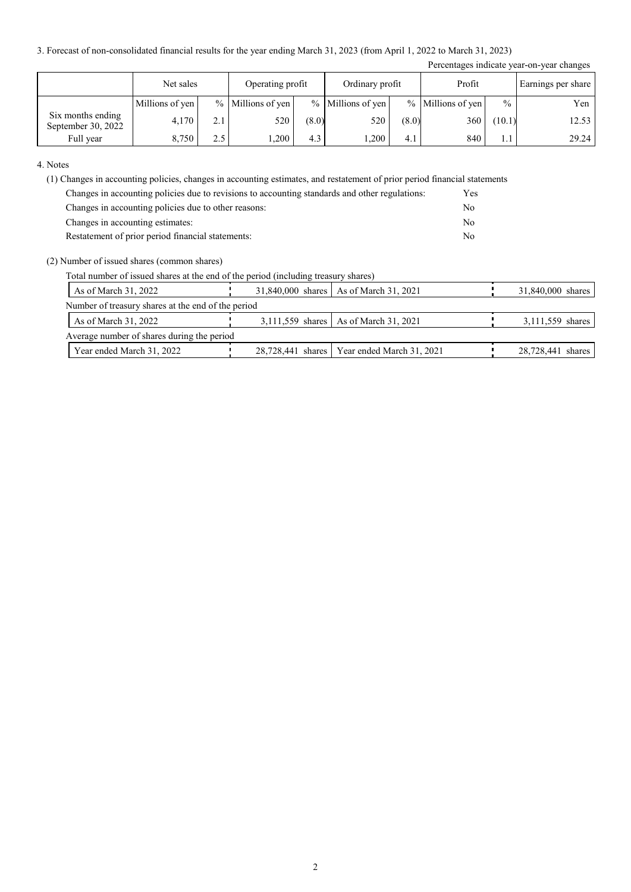3. Forecast of non-consolidated financial results for the year ending March 31, 2023 (from April 1, 2022 to March 31, 2023)

|                                         |                 |     |                     |       |                     |       |                     |               | Percentages indicate year-on-year changes |
|-----------------------------------------|-----------------|-----|---------------------|-------|---------------------|-------|---------------------|---------------|-------------------------------------------|
|                                         | Net sales       |     | Operating profit    |       | Ordinary profit     |       | Profit              |               | Earnings per share                        |
|                                         | Millions of yen |     | $%$ Millions of yen |       | $%$ Millions of yen |       | $%$ Millions of yen | $\frac{0}{0}$ | Yen                                       |
| Six months ending<br>September 30, 2022 | 4,170           | 2.1 | 520                 | (8.0) | 520                 | (8.0) | 360                 | (10.1)        | 12.53                                     |
| Full year                               | 8,750           | 2.5 | ,200                | 4.3   | ,200                | 4.1   | 840                 |               | 29.24                                     |

4. Notes

(1) Changes in accounting policies, changes in accounting estimates, and restatement of prior period financial statements

| Changes in accounting policies due to revisions to accounting standards and other regulations: | <b>Yes</b> |
|------------------------------------------------------------------------------------------------|------------|
| Changes in accounting policies due to other reasons:                                           | No         |
| Changes in accounting estimates:                                                               | No         |
| Restatement of prior period financial statements:                                              | Nο         |

#### (2) Number of issued shares (common shares)

Total number of issued shares at the end of the period (including treasury shares)

| As of March 31, 2022                               |  | 31,840,000 shares   As of March 31, 2021      | 31,840,000 shares |  |  |  |
|----------------------------------------------------|--|-----------------------------------------------|-------------------|--|--|--|
| Number of treasury shares at the end of the period |  |                                               |                   |  |  |  |
| As of March 31, 2022                               |  | 3,111,559 shares   As of March 31, 2021       | 3,111,559 shares  |  |  |  |
| Average number of shares during the period         |  |                                               |                   |  |  |  |
| Year ended March 31, 2022                          |  | 28,728,441 shares   Year ended March 31, 2021 | 28,728,441 shares |  |  |  |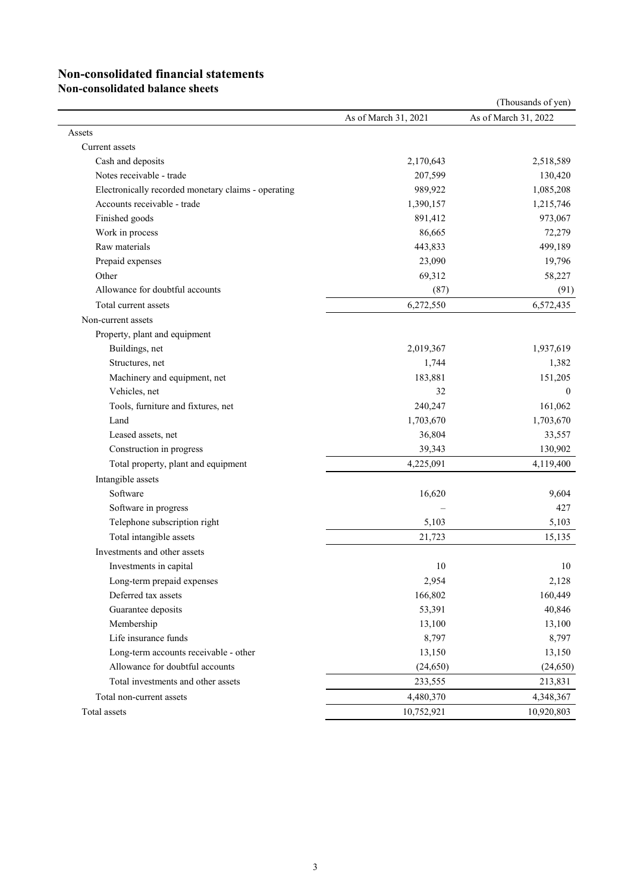# **Non-consolidated financial statements**

**Non-consolidated balance sheets**

|                                                     |                      | (Thousands of yen)   |
|-----------------------------------------------------|----------------------|----------------------|
|                                                     | As of March 31, 2021 | As of March 31, 2022 |
| Assets                                              |                      |                      |
| Current assets                                      |                      |                      |
| Cash and deposits                                   | 2,170,643            | 2,518,589            |
| Notes receivable - trade                            | 207,599              | 130,420              |
| Electronically recorded monetary claims - operating | 989,922              | 1,085,208            |
| Accounts receivable - trade                         | 1,390,157            | 1,215,746            |
| Finished goods                                      | 891,412              | 973,067              |
| Work in process                                     | 86,665               | 72,279               |
| Raw materials                                       | 443,833              | 499,189              |
| Prepaid expenses                                    | 23,090               | 19,796               |
| Other                                               | 69,312               | 58,227               |
| Allowance for doubtful accounts                     | (87)                 | (91)                 |
| Total current assets                                | 6,272,550            | 6,572,435            |
| Non-current assets                                  |                      |                      |
| Property, plant and equipment                       |                      |                      |
| Buildings, net                                      | 2,019,367            | 1,937,619            |
| Structures, net                                     | 1,744                | 1,382                |
| Machinery and equipment, net                        | 183,881              | 151,205              |
| Vehicles, net                                       | 32                   | $\overline{0}$       |
| Tools, furniture and fixtures, net                  | 240,247              | 161,062              |
| Land                                                | 1,703,670            | 1,703,670            |
| Leased assets, net                                  | 36,804               | 33,557               |
| Construction in progress                            | 39,343               | 130,902              |
| Total property, plant and equipment                 | 4,225,091            | 4,119,400            |
| Intangible assets                                   |                      |                      |
| Software                                            | 16,620               | 9,604                |
| Software in progress                                |                      | 427                  |
| Telephone subscription right                        | 5,103                | 5,103                |
| Total intangible assets                             | 21,723               | 15,135               |
| Investments and other assets                        |                      |                      |
| Investments in capital                              | 10                   | 10                   |
| Long-term prepaid expenses                          | 2,954                | 2,128                |
| Deferred tax assets                                 | 166,802              | 160,449              |
| Guarantee deposits                                  | 53,391               | 40,846               |
| Membership                                          | 13,100               | 13,100               |
| Life insurance funds                                | 8,797                | 8,797                |
| Long-term accounts receivable - other               | 13,150               | 13,150               |
| Allowance for doubtful accounts                     | (24, 650)            | (24,650)             |
| Total investments and other assets                  | 233,555              | 213,831              |
| Total non-current assets                            | 4,480,370            | 4,348,367            |
| Total assets                                        | 10,752,921           | 10,920,803           |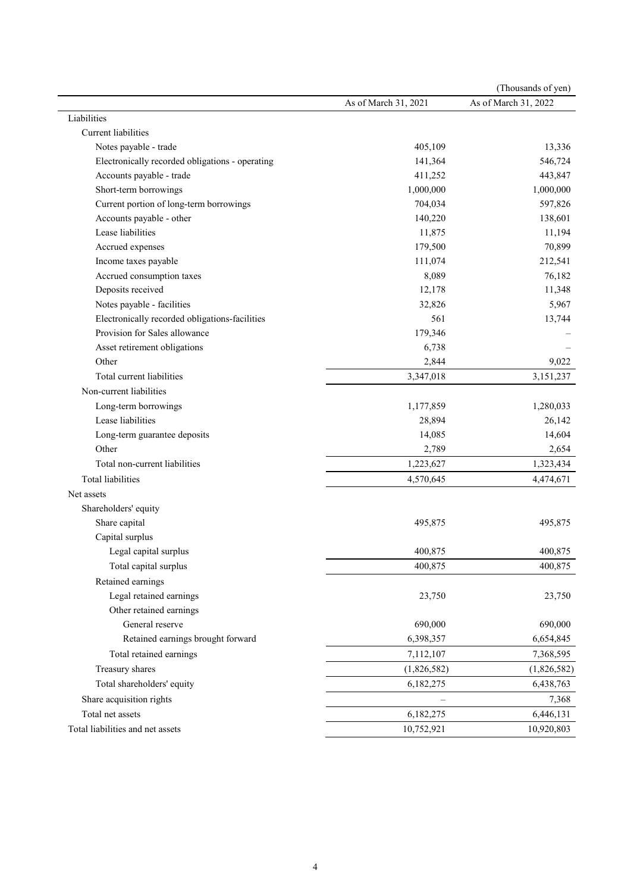|                                                 |                      | (Thousands of yen)   |
|-------------------------------------------------|----------------------|----------------------|
|                                                 | As of March 31, 2021 | As of March 31, 2022 |
| Liabilities                                     |                      |                      |
| Current liabilities                             |                      |                      |
| Notes payable - trade                           | 405,109              | 13,336               |
| Electronically recorded obligations - operating | 141,364              | 546,724              |
| Accounts payable - trade                        | 411,252              | 443,847              |
| Short-term borrowings                           | 1,000,000            | 1,000,000            |
| Current portion of long-term borrowings         | 704,034              | 597,826              |
| Accounts payable - other                        | 140,220              | 138,601              |
| Lease liabilities                               | 11,875               | 11,194               |
| Accrued expenses                                | 179,500              | 70,899               |
| Income taxes payable                            | 111,074              | 212,541              |
| Accrued consumption taxes                       | 8,089                | 76,182               |
| Deposits received                               | 12,178               | 11,348               |
| Notes payable - facilities                      | 32,826               | 5,967                |
| Electronically recorded obligations-facilities  | 561                  | 13,744               |
| Provision for Sales allowance                   | 179,346              |                      |
| Asset retirement obligations                    | 6,738                |                      |
| Other                                           | 2,844                | 9,022                |
| Total current liabilities                       | 3,347,018            | 3,151,237            |
| Non-current liabilities                         |                      |                      |
| Long-term borrowings                            | 1,177,859            | 1,280,033            |
| Lease liabilities                               | 28,894               | 26,142               |
| Long-term guarantee deposits                    | 14,085               | 14,604               |
| Other                                           | 2,789                | 2,654                |
| Total non-current liabilities                   | 1,223,627            | 1,323,434            |
| <b>Total liabilities</b>                        | 4,570,645            | 4,474,671            |
| Net assets                                      |                      |                      |
| Shareholders' equity                            |                      |                      |
| Share capital                                   | 495,875              | 495,875              |
| Capital surplus                                 |                      |                      |
| Legal capital surplus                           | 400,875              | 400,875              |
| Total capital surplus                           | 400,875              | 400,875              |
| Retained earnings                               |                      |                      |
| Legal retained earnings                         | 23,750               | 23,750               |
| Other retained earnings                         |                      |                      |
| General reserve                                 | 690,000              | 690,000              |
| Retained earnings brought forward               | 6,398,357            | 6,654,845            |
| Total retained earnings                         | 7,112,107            | 7,368,595            |
| Treasury shares                                 | (1,826,582)          | (1,826,582)          |
| Total shareholders' equity                      | 6,182,275            | 6,438,763            |
| Share acquisition rights                        |                      | 7,368                |
| Total net assets                                | 6,182,275            | 6,446,131            |
| Total liabilities and net assets                | 10,752,921           | 10,920,803           |
|                                                 |                      |                      |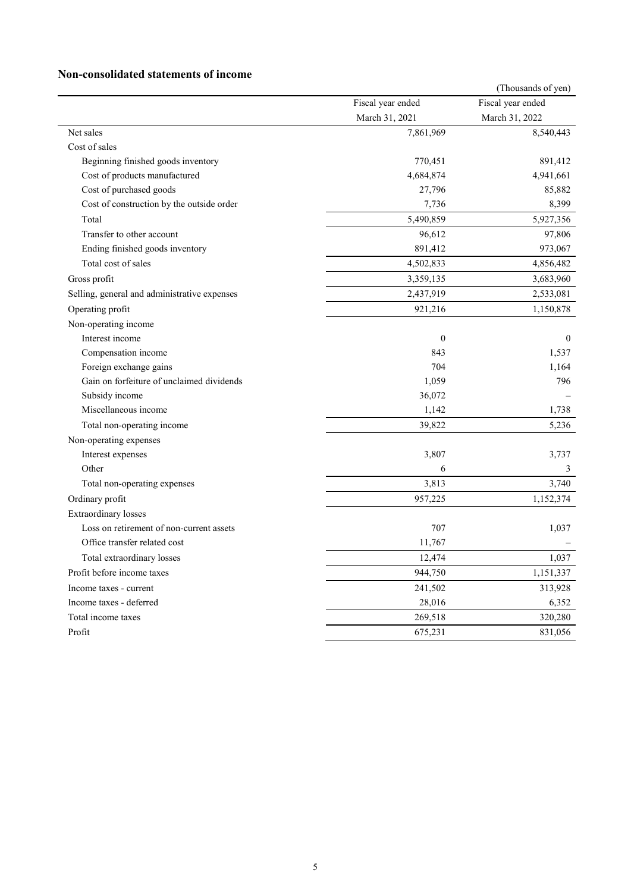### **Non-consolidated statements of income**

|                                              |                   | (Thousands of yen) |
|----------------------------------------------|-------------------|--------------------|
|                                              | Fiscal year ended | Fiscal year ended  |
|                                              | March 31, 2021    | March 31, 2022     |
| Net sales                                    | 7,861,969         | 8,540,443          |
| Cost of sales                                |                   |                    |
| Beginning finished goods inventory           | 770,451           | 891,412            |
| Cost of products manufactured                | 4,684,874         | 4,941,661          |
| Cost of purchased goods                      | 27,796            | 85,882             |
| Cost of construction by the outside order    | 7,736             | 8,399              |
| Total                                        | 5,490,859         | 5,927,356          |
| Transfer to other account                    | 96,612            | 97,806             |
| Ending finished goods inventory              | 891,412           | 973,067            |
| Total cost of sales                          | 4,502,833         | 4,856,482          |
| Gross profit                                 | 3,359,135         | 3,683,960          |
| Selling, general and administrative expenses | 2,437,919         | 2,533,081          |
| Operating profit                             | 921,216           | 1,150,878          |
| Non-operating income                         |                   |                    |
| Interest income                              | $\boldsymbol{0}$  | $\mathbf{0}$       |
| Compensation income                          | 843               | 1,537              |
| Foreign exchange gains                       | 704               | 1,164              |
| Gain on forfeiture of unclaimed dividends    | 1,059             | 796                |
| Subsidy income                               | 36,072            |                    |
| Miscellaneous income                         | 1,142             | 1,738              |
| Total non-operating income                   | 39,822            | 5,236              |
| Non-operating expenses                       |                   |                    |
| Interest expenses                            | 3,807             | 3,737              |
| Other                                        | 6                 | 3                  |
| Total non-operating expenses                 | 3,813             | 3,740              |
| Ordinary profit                              | 957,225           | 1,152,374          |
| <b>Extraordinary losses</b>                  |                   |                    |
| Loss on retirement of non-current assets     | 707               | 1,037              |
| Office transfer related cost                 | 11,767            |                    |
| Total extraordinary losses                   | 12,474            | 1,037              |
| Profit before income taxes                   | 944,750           | 1,151,337          |
| Income taxes - current                       | 241,502           | 313,928            |
| Income taxes - deferred                      | 28,016            | 6,352              |
| Total income taxes                           | 269,518           | 320,280            |
| Profit                                       | 675,231           | 831,056            |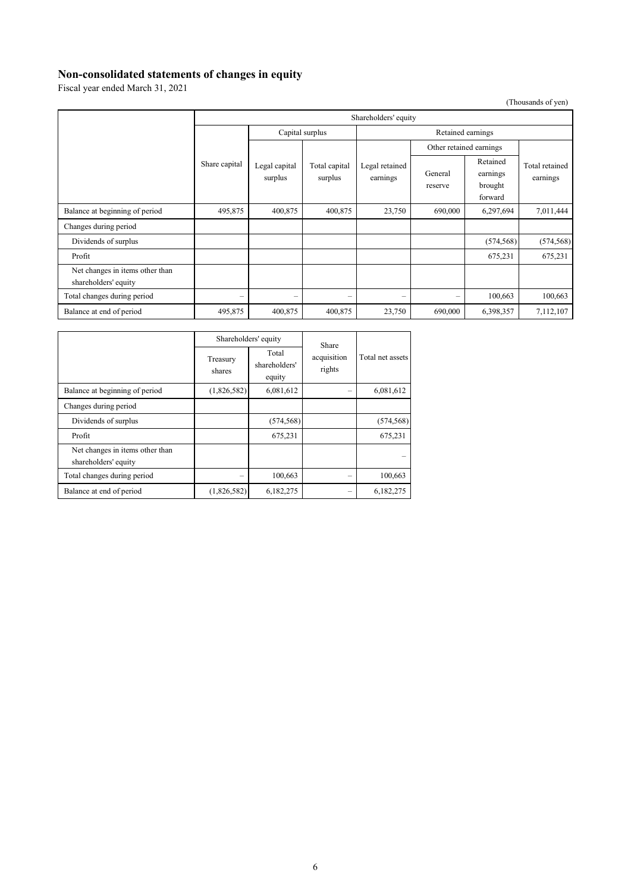### **Non-consolidated statements of changes in equity**

Fiscal year ended March 31, 2021

(Thousands of yen)

|                                                         | Shareholders' equity     |                                                      |                          |                            |                          |                                            |                            |
|---------------------------------------------------------|--------------------------|------------------------------------------------------|--------------------------|----------------------------|--------------------------|--------------------------------------------|----------------------------|
|                                                         |                          | Capital surplus                                      |                          | Retained earnings          |                          |                                            |                            |
|                                                         |                          |                                                      |                          | Legal retained<br>earnings | Other retained earnings  |                                            |                            |
|                                                         | Share capital            | Legal capital<br>Total capital<br>surplus<br>surplus |                          |                            | General<br>reserve       | Retained<br>earnings<br>brought<br>forward | Total retained<br>earnings |
| Balance at beginning of period                          | 495,875                  | 400,875                                              | 400,875                  | 23,750                     | 690,000                  | 6,297,694                                  | 7,011,444                  |
| Changes during period                                   |                          |                                                      |                          |                            |                          |                                            |                            |
| Dividends of surplus                                    |                          |                                                      |                          |                            |                          | (574, 568)                                 | (574, 568)                 |
| Profit                                                  |                          |                                                      |                          |                            |                          | 675,231                                    | 675,231                    |
| Net changes in items other than<br>shareholders' equity |                          |                                                      |                          |                            |                          |                                            |                            |
| Total changes during period                             | $\overline{\phantom{0}}$ | $\overline{\phantom{0}}$                             | $\overline{\phantom{0}}$ | $\qquad \qquad -$          | $\overline{\phantom{0}}$ | 100,663                                    | 100,663                    |
| Balance at end of period                                | 495,875                  | 400,875                                              | 400,875                  | 23,750                     | 690,000                  | 6,398,357                                  | 7,112,107                  |

|                                                         |                    | Shareholders' equity<br>Share    |                       |                  |  |
|---------------------------------------------------------|--------------------|----------------------------------|-----------------------|------------------|--|
|                                                         | Treasury<br>shares | Total<br>shareholders'<br>equity | acquisition<br>rights | Total net assets |  |
| Balance at beginning of period                          | (1,826,582)        | 6,081,612                        |                       | 6,081,612        |  |
| Changes during period                                   |                    |                                  |                       |                  |  |
| Dividends of surplus                                    |                    | (574, 568)                       |                       | (574, 568)       |  |
| Profit                                                  |                    | 675,231                          |                       | 675,231          |  |
| Net changes in items other than<br>shareholders' equity |                    |                                  |                       |                  |  |
| Total changes during period                             |                    | 100,663                          |                       | 100,663          |  |
| Balance at end of period                                | (1,826,582)        | 6,182,275                        |                       | 6,182,275        |  |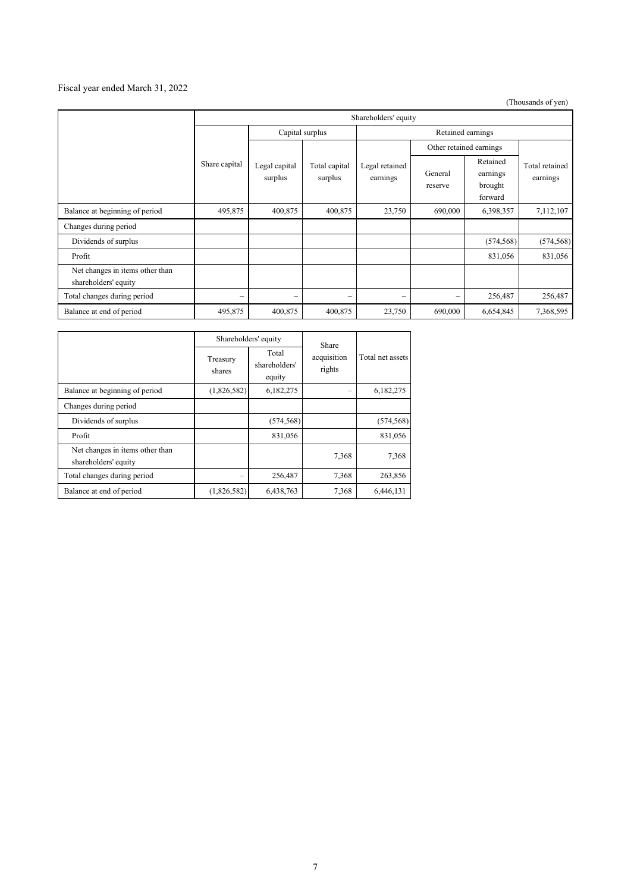### Fiscal year ended March 31, 2022

(Thousands of yen)

|                                                         | Shareholders' equity |                                                      |                            |                    |                                            |            |                            |
|---------------------------------------------------------|----------------------|------------------------------------------------------|----------------------------|--------------------|--------------------------------------------|------------|----------------------------|
|                                                         |                      | Capital surplus                                      |                            | Retained earnings  |                                            |            |                            |
|                                                         |                      |                                                      |                            |                    | Other retained earnings                    |            | Total retained<br>earnings |
|                                                         | Share capital        | Legal capital<br>Total capital<br>surplus<br>surplus | Legal retained<br>earnings | General<br>reserve | Retained<br>earnings<br>brought<br>forward |            |                            |
| Balance at beginning of period                          | 495,875              | 400,875                                              | 400,875                    | 23,750             | 690,000                                    | 6,398,357  | 7,112,107                  |
| Changes during period                                   |                      |                                                      |                            |                    |                                            |            |                            |
| Dividends of surplus                                    |                      |                                                      |                            |                    |                                            | (574, 568) | (574, 568)                 |
| Profit                                                  |                      |                                                      |                            |                    |                                            | 831,056    | 831,056                    |
| Net changes in items other than<br>shareholders' equity |                      |                                                      |                            |                    |                                            |            |                            |
| Total changes during period                             | $\qquad \qquad =$    | $\overline{\phantom{0}}$                             | -                          | $\qquad \qquad =$  | -                                          | 256,487    | 256,487                    |
| Balance at end of period                                | 495,875              | 400,875                                              | 400,875                    | 23,750             | 690,000                                    | 6,654,845  | 7,368,595                  |

|                                                         |                    | Shareholders' equity             | Share                 | Total net assets |  |
|---------------------------------------------------------|--------------------|----------------------------------|-----------------------|------------------|--|
|                                                         | Treasury<br>shares | Total<br>shareholders'<br>equity | acquisition<br>rights |                  |  |
| Balance at beginning of period                          | (1,826,582)        | 6,182,275                        |                       | 6,182,275        |  |
| Changes during period                                   |                    |                                  |                       |                  |  |
| Dividends of surplus                                    |                    | (574, 568)                       |                       | (574, 568)       |  |
| Profit                                                  |                    | 831,056                          |                       | 831,056          |  |
| Net changes in items other than<br>shareholders' equity |                    |                                  | 7,368                 | 7,368            |  |
| Total changes during period                             |                    | 256,487                          | 7,368                 | 263,856          |  |
| Balance at end of period                                | (1,826,582)        | 6,438,763                        | 7,368                 | 6.446.131        |  |